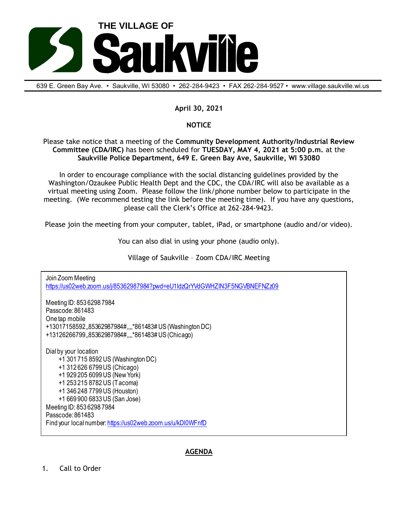

639 E. Green Bay Ave. • Saukville, Wl 53080 • 262-284-9423 • FAX 262-284-9527 • www.village.saukville.wi.us

## **April 30, 2021**

## **NOTICE**

Please take notice that a meeting of the **Community Development Authority/Industrial Review Committee (CDA/IRC)** has been scheduled for **TUESDAY, MAY 4, 2021 at 5:00 p.m.** at the **Saukville Police Department, 649 E. Green Bay Ave, Saukville, WI 53080**

In order to encourage compliance with the social distancing guidelines provided by the Washington/Ozaukee Public Health Dept and the CDC, the CDA/IRC will also be available as a virtual meeting using Zoom. Please follow the link/phone number below to participate in the meeting. (We recommend testing the link before the meeting time). If you have any questions, please call the Clerk's Office at 262-284-9423.

Please join the meeting from your computer, tablet, iPad, or smartphone (audio and/or video).

You can also dial in using your phone (audio only).

Village of Saukville – Zoom CDA/IRC Meeting

Join Zoom Meeting https://us02web.zoom.us/j/85362987984?pwd=eU1IdzQrYVdGWHZIN3F5NGVBNEFNZz09 Meeting ID: 853 6298 7984 Passcode: 861483 One tap mobile +13017158592,,85362987984#,,,,\*861483# US (Washington DC) +13126266799,,85362987984#,,,,\*861483# US (Chicago) Dial by your location +1 301 715 8592 US (Washington DC) +1 312 626 6799 US (Chicago) +1 929 205 6099 US (New York) +1 253 215 8782 US (Tacoma) +1 346 248 7799 US (Houston) +1 669 900 6833 US (San Jose) Meeting ID: 853 6298 7984 Passcode: 861483 Find your local number: https://us02web.zoom.us/u/kDl0WFnfD

## **AGENDA**

1. Call to Order